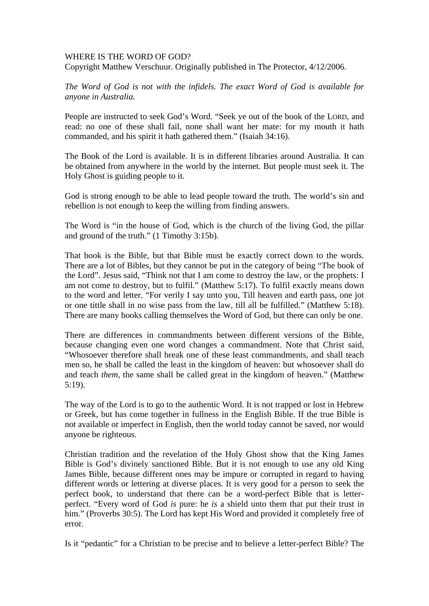## WHERE IS THE WORD OF GOD?

Copyright Matthew Verschuur. Originally published in The Protector, 4/12/2006.

*The Word of God is not with the infidels. The exact Word of God is available for anyone in Australia.* 

People are instructed to seek God's Word. "Seek ye out of the book of the LORD, and read: no one of these shall fail, none shall want her mate: for my mouth it hath commanded, and his spirit it hath gathered them." (Isaiah 34:16).

The Book of the Lord is available. It is in different libraries around Australia. It can be obtained from anywhere in the world by the internet. But people must seek it. The Holy Ghost is guiding people to it.

God is strong enough to be able to lead people toward the truth. The world's sin and rebellion is not enough to keep the willing from finding answers.

The Word is "in the house of God, which is the church of the living God, the pillar and ground of the truth." (1 Timothy 3:15b).

That book is the Bible, but that Bible must be exactly correct down to the words. There are a lot of Bibles, but they cannot be put in the category of being "The book of the Lord". Jesus said, "Think not that I am come to destroy the law, or the prophets: I am not come to destroy, but to fulfil." (Matthew 5:17). To fulfil exactly means down to the word and letter. "For verily I say unto you, Till heaven and earth pass, one jot or one tittle shall in no wise pass from the law, till all be fulfilled." (Matthew 5:18). There are many books calling themselves the Word of God, but there can only be one.

There are differences in commandments between different versions of the Bible, because changing even one word changes a commandment. Note that Christ said, "Whosoever therefore shall break one of these least commandments, and shall teach men so, he shall be called the least in the kingdom of heaven: but whosoever shall do and teach *them*, the same shall be called great in the kingdom of heaven." (Matthew 5:19).

The way of the Lord is to go to the authentic Word. It is not trapped or lost in Hebrew or Greek, but has come together in fullness in the English Bible. If the true Bible is not available or imperfect in English, then the world today cannot be saved, nor would anyone be righteous.

Christian tradition and the revelation of the Holy Ghost show that the King James Bible is God's divinely sanctioned Bible. But it is not enough to use any old King James Bible, because different ones may be impure or corrupted in regard to having different words or lettering at diverse places. It is very good for a person to seek the perfect book, to understand that there can be a word-perfect Bible that is letterperfect. "Every word of God *is* pure: he *is* a shield unto them that put their trust in him." (Proverbs 30:5). The Lord has kept His Word and provided it completely free of error.

Is it "pedantic" for a Christian to be precise and to believe a letter-perfect Bible? The